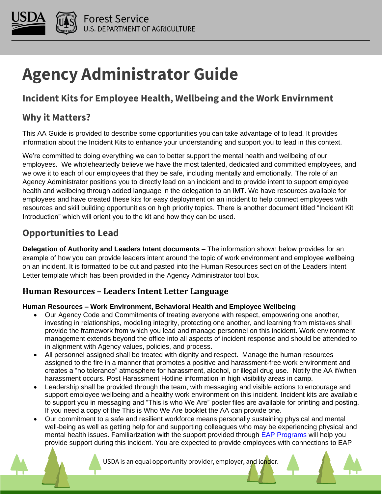

# **Agency Administrator Guide**

# **Incident Kits for Employee Health, Wellbeing and the Work Envirnment**

### **Why it Matters?**

This AA Guide is provided to describe some opportunities you can take advantage of to lead. It provides information about the Incident Kits to enhance your understanding and support you to lead in this context.

We're committed to doing everything we can to better support the mental health and wellbeing of our employees. We wholeheartedly believe we have the most talented, dedicated and committed employees, and we owe it to each of our employees that they be safe, including mentally and emotionally. The role of an Agency Administrator positions you to directly lead on an incident and to provide intent to support employee health and wellbeing through added language in the delegation to an IMT. We have resources available for employees and have created these kits for easy deployment on an incident to help connect employees with resources and skill building opportunities on high priority topics. There is another document titled "Incident Kit Introduction" which will orient you to the kit and how they can be used.

## **Opportunities to Lead**

**Delegation of Authority and Leaders Intent documents** – The information shown below provides for an example of how you can provide leaders intent around the topic of work environment and employee wellbeing on an incident. It is formatted to be cut and pasted into the Human Resources section of the Leaders Intent Letter template which has been provided in the Agency Administrator tool box.

#### **Human Resources – Leaders Intent Letter Language**

#### **Human Resources – Work Environment, Behavioral Health and Employee Wellbeing**

- Our Agency Code and Commitments of treating everyone with respect, empowering one another, investing in relationships, modeling integrity, protecting one another, and learning from mistakes shall provide the framework from which you lead and manage personnel on this incident. Work environment management extends beyond the office into all aspects of incident response and should be attended to in alignment with Agency values, policies, and process.
- All personnel assigned shall be treated with dignity and respect. Manage the human resources assigned to the fire in a manner that promotes a positive and harassment-free work environment and creates a "no tolerance" atmosphere for harassment, alcohol, or illegal drug use. Notify the AA if/when harassment occurs. Post Harassment Hotline information in high visibility areas in camp.
- Leadership shall be provided through the team, with messaging and visible actions to encourage and support employee wellbeing and a healthy work environment on this incident. Incident kits are available to support you in messaging and "This is who We Are" poster files are available for printing and posting. If you need a copy of the This is Who We Are booklet the AA can provide one.
- Our commitment to a safe and resilient workforce means personally sustaining physical and mental well-being as well as getting help for and supporting colleagues who may be experiencing physical and mental health issues. Familiarization with the support provided through [EAP Programs](https://experience.arcgis.com/experience/4f132cb22d134a2288c814998684f067) will help you provide support during this incident. You are expected to provide employees with connections to EAP

USDA is an equal opportunity provider, employer, and lender.